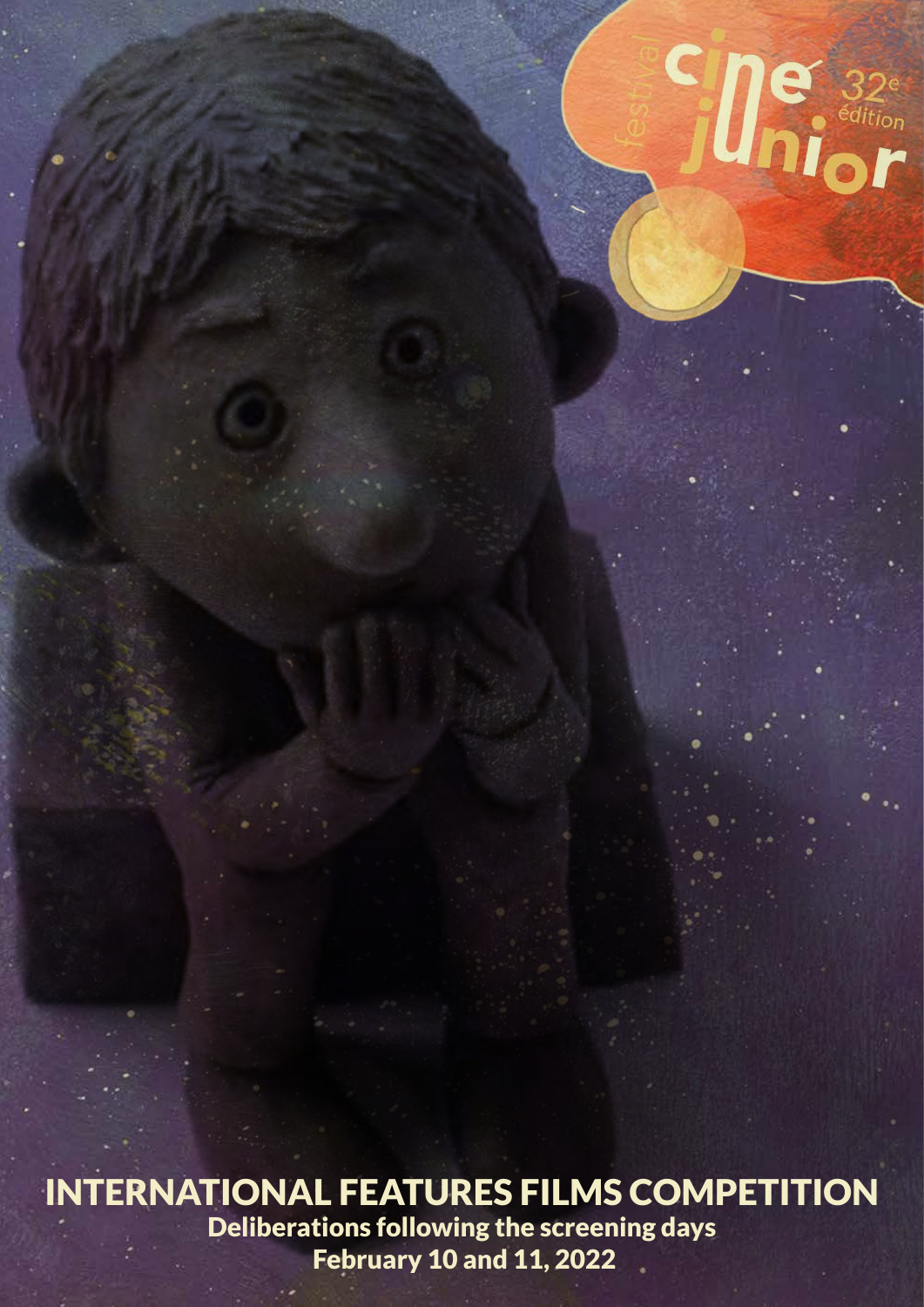

**Cine** 32<sup>e</sup>

Deliberations following the screening days February 10 and 11, 2022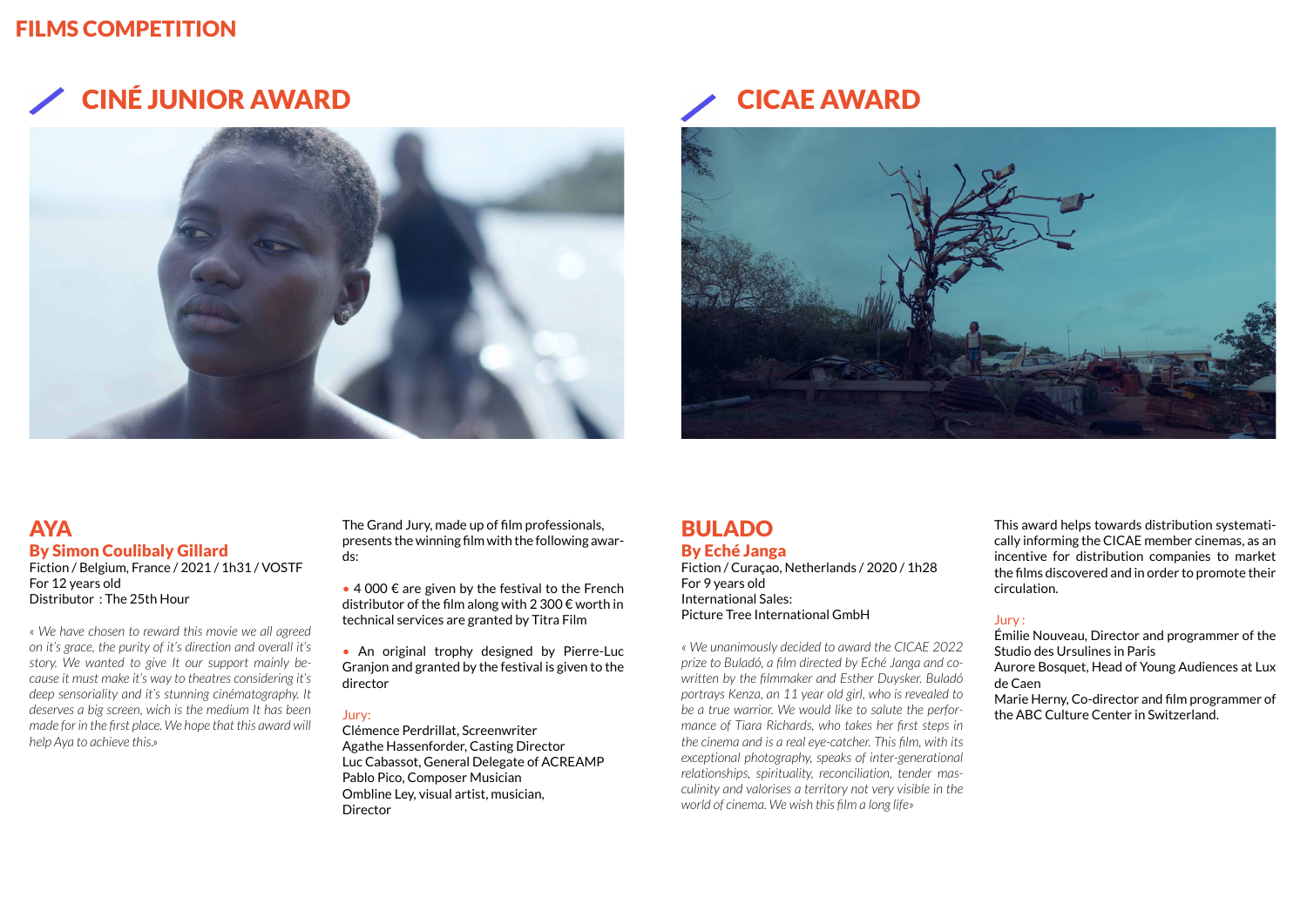# CINÉ JUNIOR AWARD CICAE AWARD





# FILMS COMPETITION

## BULADO By Eché Janga

Fiction / Curaçao, Netherlands / 2020 / 1h28 For 9 years old International Sales: Picture Tree International GmbH

*« We unanimously decided to award the CICAE 2022 prize to Buladó, a film directed by Eché Janga and cowritten by the filmmaker and Esther Duysker. Buladó portrays Kenza, an 11 year old girl, who is revealed to be a true warrior. We would like to salute the performance of Tiara Richards, who takes her first steps in the cinema and is a real eye-catcher. This film, with its exceptional photography, speaks of inter-generational relationships, spirituality, reconciliation, tender masculinity and valorises a territory not very visible in the world of cinema. We wish this film a long life»*

### **AYA** By Simon Coulibaly Gillard

This award helps towards distribution systematically informing the CICAE member cinemas, as an incentive for distribution companies to market the films discovered and in order to promote their circulation.

#### Jury :

 $\bullet$  4 000  $\epsilon$  are given by the festival to the French distributor of the film along with 2 300  $\epsilon$  worth in technical services are granted by Titra Film

> Émilie Nouveau, Director and programmer of the Studio des Ursulines in Paris

> Aurore Bosquet, Head of Young Audiences at Lux de Caen

> Marie Herny, Co-director and film programmer of the ABC Culture Center in Switzerland.

Fiction / Belgium, France / 2021 / 1h31 / VOSTF For 12 years old Distributor : The 25th Hour

*« We have chosen to reward this movie we all agreed on it's grace, the purity of it's direction and overall it's story. We wanted to give It our support mainly because it must make it's way to theatres considering it's deep sensoriality and it's stunning cinématography. It deserves a big screen, wich is the medium It has been made for in the first place. We hope that this award will help Aya to achieve this.»*

The Grand Jury, made up of film professionals, presents the winning film with the following awards:

• An original trophy designed by Pierre-Luc Granjon and granted by the festival is given to the director

#### Jury:

Clémence Perdrillat, Screenwriter Agathe Hassenforder, Casting Director Luc Cabassot, General Delegate of ACREAMP Pablo Pico, Composer Musician Ombline Ley, visual artist, musician, Director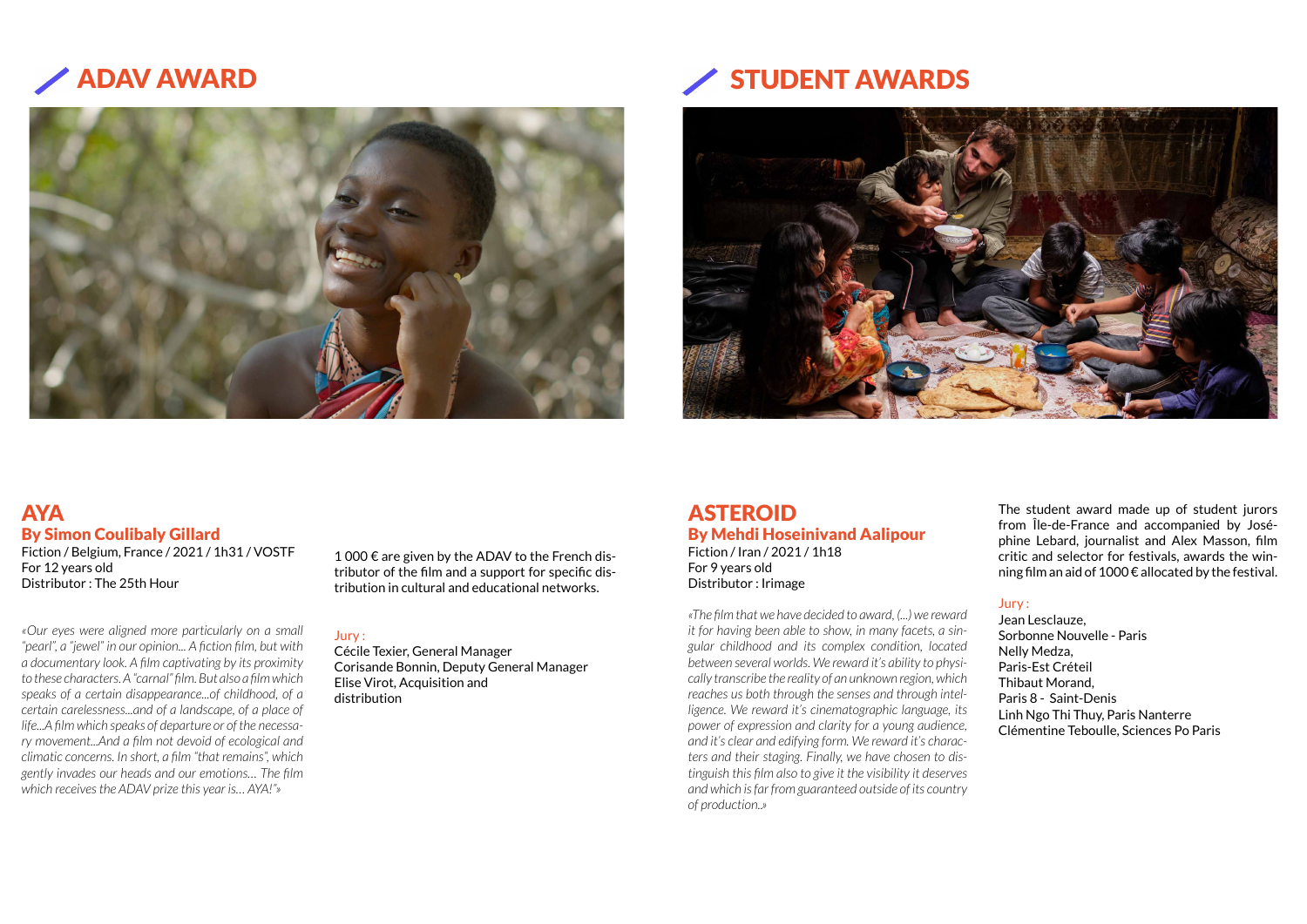

# ADAV AWARD STUDENT AWARDS



### AYA By Simon Coulibaly Gillard

Fiction / Belgium, France / 2021 / 1h31 / VOSTF For 12 years old Distributor : The 25th Hour

1 000 € are given by the ADAV to the French distributor of the film and a support for specific distribution in cultural and educational networks.

*«Our eyes were aligned more particularly on a small "pearl", a "jewel" in our opinion... A fiction film, but with a documentary look. A film captivating by its proximity to these characters. A "carnal" film. But also a film which speaks of a certain disappearance...of childhood, of a certain carelessness...and of a landscape, of a place of life...A film which speaks of departure or of the necessary movement...And a film not devoid of ecological and climatic concerns. In short, a film "that remains", which gently invades our heads and our emotions… The film which receives the ADAV prize this year is… AYA!"»*

#### Jury :

Cécile Texier, General Manager Corisande Bonnin, Deputy General Manager Elise Virot, Acquisition and distribution

### ASTEROID By Mehdi Hoseinivand Aalipour Fiction / Iran / 2021 / 1h18

For 9 years old Distributor : Irimage

*«The film that we have decided to award, (...) we reward it for having been able to show, in many facets, a singular childhood and its complex condition, located between several worlds. We reward it's ability to physically transcribe the reality of an unknown region, which reaches us both through the senses and through intelligence. We reward it's cinematographic language, its power of expression and clarity for a young audience, and it's clear and edifying form. We reward it's characters and their staging. Finally, we have chosen to distinguish this film also to give it the visibility it deserves and which is far from guaranteed outside of its country of production..»*

The student award made up of student jurors from Île-de-France and accompanied by Joséphine Lebard, journalist and Alex Masson, film critic and selector for festivals, awards the winning film an aid of 1000 € allocated by the festival.

#### Jury :

Jean Lesclauze, Sorbonne Nouvelle - Paris Nelly Medza, Paris-Est Créteil Thibaut Morand, Paris 8 - Saint-Denis Linh Ngo Thi Thuy, Paris Nanterre Clémentine Teboulle, Sciences Po Paris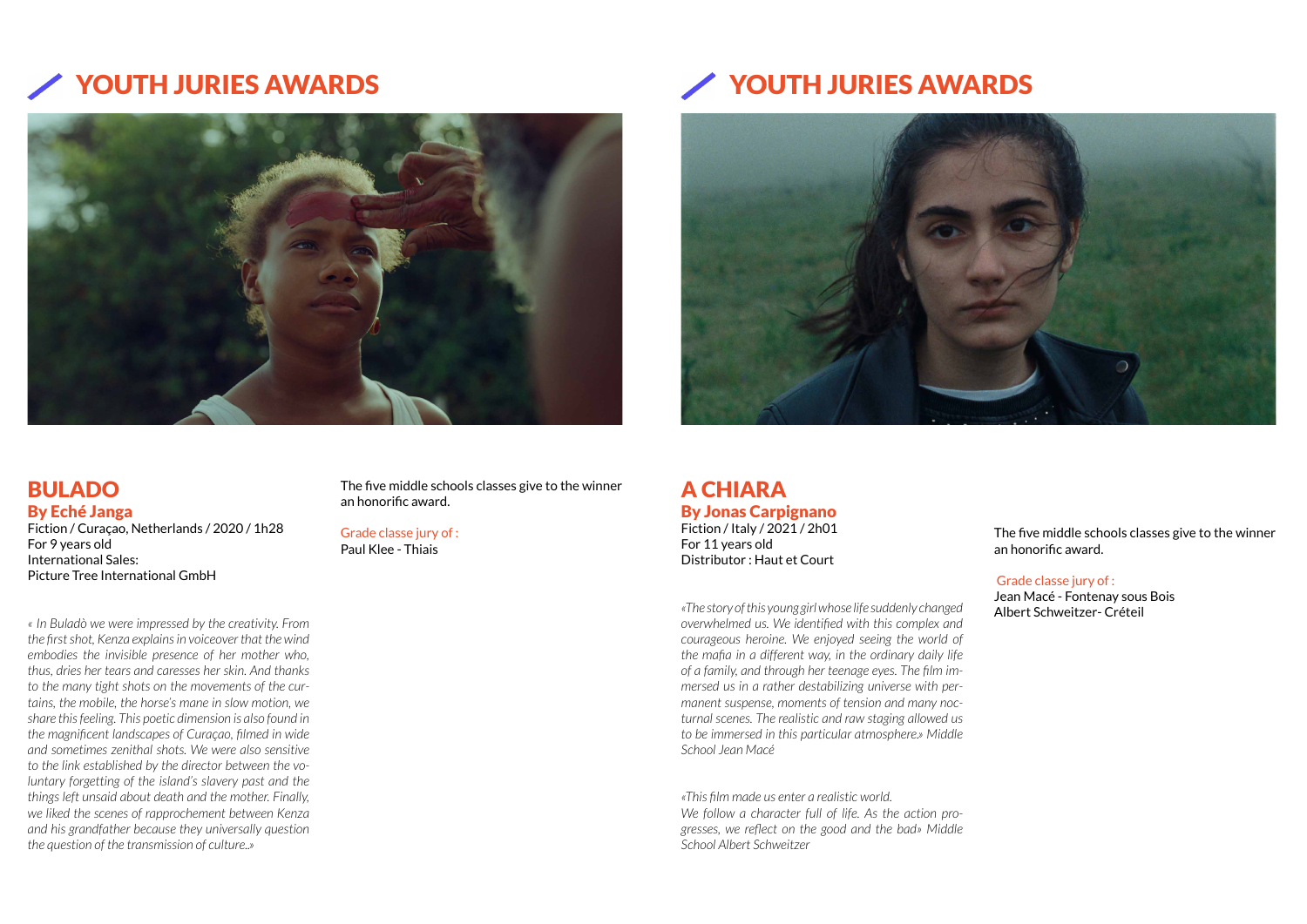# YOUTH JURIES AWARDS YOUTH JURIES AWARDS



## BULADO By Eché Janga

Fiction / Curaçao, Netherlands / 2020 / 1h28 For 9 years old International Sales: Picture Tree International GmbH

*« In Buladò we were impressed by the creativity. From the first shot, Kenza explains in voiceover that the wind embodies the invisible presence of her mother who, thus, dries her tears and caresses her skin. And thanks to the many tight shots on the movements of the curtains, the mobile, the horse's mane in slow motion, we share this feeling. This poetic dimension is also found in the magnificent landscapes of Curaçao, filmed in wide and sometimes zenithal shots. We were also sensitive to the link established by the director between the voluntary forgetting of the island's slavery past and the things left unsaid about death and the mother. Finally, we liked the scenes of rapprochement between Kenza and his grandfather because they universally question the question of the transmission of culture..»*

The five middle schools classes give to the winner an honorific award.

### Grade classe jury of :

Paul Klee - Thiais



A CHIARA By Jonas Carpignano Fiction / Italy / 2021 / 2h01 For 11 years old Distributor : Haut et Court

*«The story of this young girl whose life suddenly changed overwhelmed us. We identified with this complex and courageous heroine. We enjoyed seeing the world of the mafia in a different way, in the ordinary daily life of a family, and through her teenage eyes. The film immersed us in a rather destabilizing universe with permanent suspense, moments of tension and many nocturnal scenes. The realistic and raw staging allowed us to be immersed in this particular atmosphere.» Middle School Jean Macé*

*«This film made us enter a realistic world. We follow a character full of life. As the action progresses, we reflect on the good and the bad» Middle School Albert Schweitzer*



The five middle schools classes give to the winner an honorific award.

#### Grade classe jury of :

Jean Macé - Fontenay sous Bois Albert Schweitzer- Créteil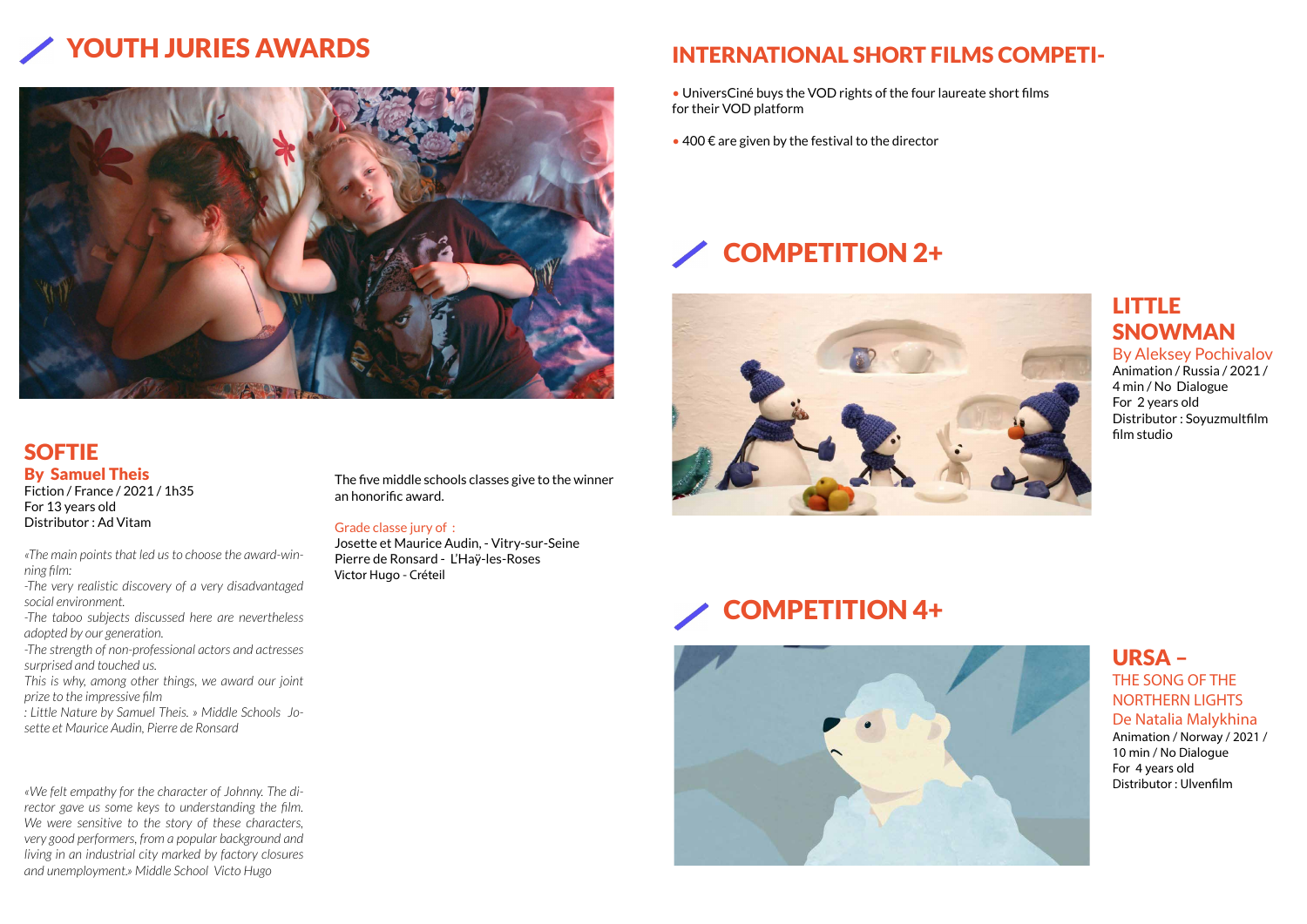# COMPETITION 2+



# YOUTH JURIES AWARDS INTERNATIONAL SHORT FILMS COMPETI-



# SOFTIE By Samuel Theis

Fiction / France / 2021 / 1h35 For 13 years old Distributor : Ad Vitam

*«The main points that led us to choose the award-winning film:*

*-The very realistic discovery of a very disadvantaged social environment.*

*-The taboo subjects discussed here are nevertheless adopted by our generation.*

*-The strength of non-professional actors and actresses surprised and touched us.*

*This is why, among other things, we award our joint prize to the impressive film*

*: Little Nature by Samuel Theis. » Middle Schools Josette et Maurice Audin, Pierre de Ronsard*

- UniversCiné buys the VOD rights of the four laureate short films for their VOD platform
- $\bullet$  400  $\epsilon$  are given by the festival to the director

*«We felt empathy for the character of Johnny. The director gave us some keys to understanding the film. We were sensitive to the story of these characters, very good performers, from a popular background and living in an industrial city marked by factory closures and unemployment.» Middle School Victo Hugo*

The five middle schools classes give to the winner an honorific award.

### Grade classe jury of :

Josette et Maurice Audin, - Vitry-sur-Seine Pierre de Ronsard - L'Haÿ-les-Roses Victor Hugo - Créteil

## LITTLE SNOWMAN By Aleksey Pochivalov

Animation / Russia / 2021 / 4 min / No Dialogue For 2 years old Distributor : Soyuzmultfilm film studio





### URSA – THE SONG OF THE NORTHERN LIGHTS De Natalia Malykhina

Animation / Norway / 2021 / 10 min / No Dialogue For 4 years old Distributor : Ulvenfilm